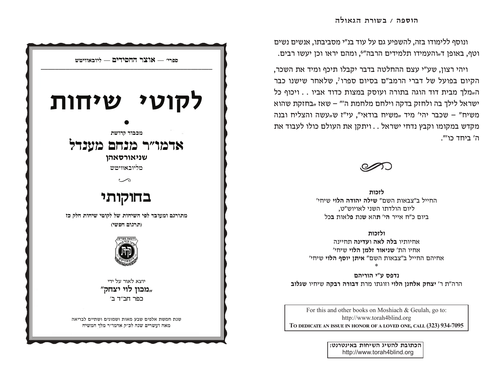ונוסף ללימודו בזה, להשפיע גם על עוד בנ"י מסביבתו, אנשים נשים וטף, באופן ד<sub>"</sub>והעמידו תלמידים הרבה"<sup>6</sup>, ומהם יראו וכן יעשו רבים.

ויהי רצון, שע"י עצם ההחלטה בדבר יקבלו תיכף ומיד את השכר, הקיום בפועל של דברי הרמב"ם בסיום ספרו<sup>7</sup>, שלאחר שישנו כבר ה"מלך מבית דוד הוגה בתורה ועוסק במצות כדוד אביו . . ויכוף כל ישראל לילך בה ולחזק בדקה וילחם מלחמת ה" – שאז "בחזקת שהוא משיח" - שכבר יהי' מיד "משיח בודאי", עי"ז ש"עשה והצליח ובנה מקדש במקומו וקבץ נדחי ישראל . . ויתקן את העולם כולו לעבוד את ה' ביחד כו'".



לזכות החייל ב"צבאות השם" **שילה יהודה הלוי** שיחי' ליום הולדתו השני לאויוש"ט. ביום כ"ח אייר הי' תהא שנת פלאות בכל

ולזכות

אחיותיו **בלה לאה ועדינה** תחיינה אחיו הת' **שניאור זלמו הלוי** שיחי' אחיהם החייל ב"צבאות השם" איתן יוסף הלוי שיחי'

נדפס ע"י הוריהם הרה"ת ר' יצחק אלחנן הלוי וזוגתו מרת דבורה רבקה שיחיו שגלוב

For this and other books on Moshiach & Geulah, go to: http://www.torah4blind.org TO DEDICATE AN ISSUE IN HONOR OF A LOVED ONE, CALL (323) 934-7095

> הכתובת להשיג השיחות באינטרנט: http://www.torah4blind.org

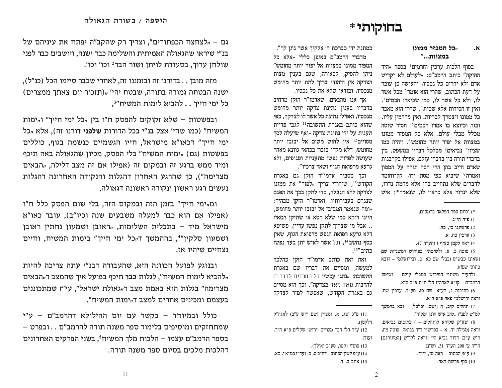## בחוקותי\*

#### "כל המפזר ממונו ۰Ν. במצוות..."

בסוף הלכות ערכין וחרמים<sup>1</sup> בספר <sub>"</sub>היד החזקה" כותב הרמב"ם: "לעולם לא יקדיש אדם ולא יחרים כל נכסיו, והעושה כז עובר על דעת הכתוב. שהרי הוא אומר<sup>2</sup> מכל אשר לו. ולא כל אשר לו. כמו שביארו חכמים<sup>3</sup>. ואיז זו חסידות אלא שטות<sup>4</sup>. שהרי הוא מאבד כל ממונו ויצטרך לבריות. ואין מרחמין עליו. ובזה וכיוצא בו אמרו חכמים5: חסיד שוטה מכלל מבלי עולם. אלא כל המפזר ממונו במצוות אל יפזר יותר מחומש6. ויהיה כמו שציוו<sup>7</sup> נביאים<sup>8</sup> מכלכל דבריו במשפט. ביז בדברי תורה בין בדברי עולם. אפילו בקרבנות שאדם חייב בהן הרי חסה תורה על הממון ואמרה<sup>9</sup> שיביא כפי מסת ידו, קל־וחומר לדברים שלא נתחייב בהו אלא מחמת נדרו. שלא ינדור אלא כראוי לו, שנאמר<sup>10</sup>: איש

ולהעיר משינוי הפירוש במבלי עולם – ושיטת הרמב״ם – קו״א לאדה״ז הל' ת״ת פ״ב ס״א.

6) כתובות נ, רע"א. שם סז, סע"ב. ערכין שם. וראה ירושלמי פאה פ״א ה״א.

7) תהלים קיב, ה (ושם: יכלכל) – ובא בהמשך למ״ש לפנ״ז "טוב איש חונו ומלוה״.

8) וצע״ק שקורא לותהלים – ) כתובים נביאים. וראה (מגילה יד, א – בפרש״י ד״ה נבואה. סוטה מח, ריש ע"ב) דדוד נביא הי' (וראה לקו"ש [המתורגם] חי"ח ע' 298 הערה 31. וש"נ).

9) ע״פ הכתוב – ראה טז, יו״ד.

10) סוף פרשת ראה.

כמתנת ידו כברכת ה' אלקיך אשר נתן לך". מדברי הרמב"ם באופן כללי "אלא כל המפזר ממונו במצוות אל יפזר יותר מחומש" ניתן להסיק, לכאורה, שגם בענין מצות הצדקה אין היהודי צריך לתת יותר מחומש מנכסיו, ובודאי שלא את כל נכסיו.

אר אנו מוצאים. שאדמו"ר הזקו מרחיב בדבריו בענין נתינת צדקה יותר מחומש מנכסיו, ואפילו נתינת כל אשר לו לצדקה, כפי שהוא כותב באגרת התשובה<sup>11</sup> לגבי פדיית תענית על ידי נתינת צדקה "ואף שיעלה לסך מסויים12 אין לחוש משום אל יבזבז יותר מחומש, דלא מקרי בזבוז בכהאי גוונא מאחר שעושה לפדות נפשו מתעניות וסגופים. ולא גרעא מרפואת הגוף ושאר צרכיו״.

וכך מסביר אדמו"ר הזקן גם באגרת הקודש<sup>13</sup>, שיהודי צריך "לפזר" את ממונו לצדקה ללא הגבלה, כדי לתקן בכך את הפגם שנגרם בעבירותיו. ואדמו״ר הזקן מבהיר: "ומה שנאמר המבזבז אל יבזבז יותר מחומש, היינו דוקא במי שלא חטא או שתיקן חטאיו .. אבל מי שצריך לתקן נפשו עדיין, פשיטא דלא גרעא רפואת הנפש מרפואת הגוף. שאיז כסף נחשב<sup>14</sup>, וכל אשר לאיש יתן בעד נפשו כתיב 15".

ואת זאת כותב אדמו״ר הזקן כהלכה למעשה, ומסיים את דבריו שם באגרת התשובה: *<sub>יי</sub>נהגו* עכשיו כל החרדים לדבר ה' להרבות מאד מאד בצדקה". וכך הוא מסיים גם באגרת הקודש, שאפשר לפזר לצדקה

גם – "לצחצח הכפתורים", וצריך רק שהקב"ה יפתח את עיניהם של בנ"י שיראו שהגאולה האמיתית והשלימה כבר ישנה, ויושבים כבר לפני שולחו ערוד. בסעודת לויתו ושור הבר<sup>2</sup> וכו' וכו'.

מזה מובן . . בדורנו זה ובזמננו זה, לאחרי שכבר סיימו הכל (כנ"ל), ישנה הבטחה גמורה בתורה, שבטח יהי' "(תזכור יום צאתך ממצרים) כל ימי חייך . . להביא לימות המשיח"<sup>3</sup>,

ובפשטות – שלא זקוקים להפסק ח"ו ביו "כל ימי חייד" ו"ימות המשיח" (כמו שהי' אצל בנ"י בכל הדורות שלפני דורנו זה), אלא "כל ימי חייך" דכאו"א מישראל, חייו הגשמיים כנשמה בגוף, כוללים בפשטות (גם) "ימות המשיח" בלי הפסק, מכיוו שהגאולה באה תיכף ומיד ממש ברגע זה ובמקום זה (אפילו אם זה מצב דלילה, "הבאים מצרימה"). כך שהרגע האחרון דהגלות והנקודה האחרונה דהגלות נעשים רגע ראשוו ונקודה ראשונה דגאולה.

ומ"ימי חייך" בזמן הזה ובמקום הזה, בלי שום הפסק כלל ח"ו (אפילו אם הוא כבר למעלה משבעים שנה וכיו"ב), עובר כאו"א מישראל מיד – בתכלית השלימות, "ראובן ושמעון נחתין ראובן ושמעוו סלקיו"<sup>4</sup>. בההמשד ד<sub>"</sub>כל ימי חייד" בימות המשיח. וחיים נצחיים שיהיו אז.

ובנוגע לפועל הכוונה היא, שהעבודה דבנ"י עתה צריכה להיות "להביא לימות המשיח", לגלות כבר תיכף בפועל איך שהמצב ד<sub>"</sub>הבאים מצרימה" בגלות הוא באמת מצב ד"גאולת ישראל", עי"ז שמתכוננים בעצמם ומכינים אחרים למצב ד‰ימות המשיח".

כולל ובמיוחד – בקשר עם יום ההילולא דהרמב"ם – ע"י שמתחזקים ומוסיפים בלימוד ספר משנה תורה להרמב"ם . . ובפרט – בספר הרמב"ם עצמו – הלכות מלך המשיחי, בשני הפרקים האחרונים דהלכות מלכים בסיום ספר משנה תורה.

<sup>\*)</sup> וסיום ספר הפלאה ברמב״ם.

**<sup>1</sup>**) פ"ח הי"ג.

<sup>2)</sup> פרשתנו כז. כח.

<sup>3)</sup> ערכין כח, א.

<sup>4)</sup> ראה לקמן סעיף ז והערה 47.

<sup>5)</sup> סוטה כ. א. ולשיטתי' בפירוש המשניות שם ושאינו כבש״ס ובבלי שם כא, ב. ובירושלמי – הובא בתוס' שם!)).

<sup>11)</sup> פ״ג (צג, א. ומציין (שם ריש ע״ב) לאגה״ק דלקמן).

<sup>12)</sup> ע״ד הל' דבר מסויים (ירוש' שקלים פ״א ה״ד. ועוד).

<sup>13)</sup> סוס״י (קטו, סע״ב ואילך). 14) ע״פ לשוז הכתוב – דה״ב ט. כ. ועד״ז במ״א י. כא. 15) איוב ב, ד.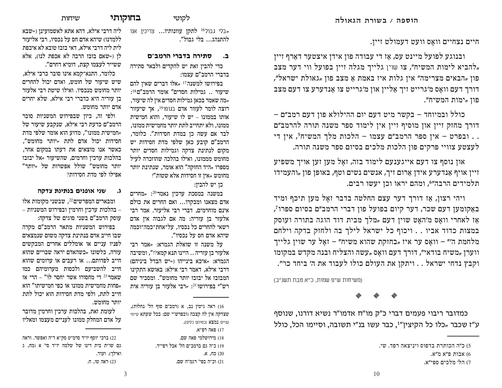היים נצחיים וואָס וועַט דעמולט זיין.

ובנוגע לפועל מיינט עס, אז די עבודה פון אידן איצטער דארף זיין להביא לימות המשיח", צו שוין גלייך מגלה זיין בפועל ווי דער מצב,  $p$ פון "הבאים מצרימה" אין גלות איז באמת אַ מצב פון "גאולת ישראל", דורך דעם וואַס מ׳גרייט זיך אַליין און מ׳גרייט צו אַנדערע צו דעם מצב פון "מות המשיח".

כולל ובמיוחד – בקשר מיט דעם יום ההילולא פון דעם רמב"ם – דורך מחזק זיין און מוסיף זיין אין לימוד ספר משנה תורה להרמב"ם . . ובפרט – אין ספר הרמב"ם עצמו – הלכות מלך המשיח<sup>5</sup>, אין די לעצטע צוויי פרקים פון הלכות מלכים בסיום ספר משנה תורה.

און נוסף צו דעם אייגענעם לימוד בזה, זאַל מען זען אויך משפיע ויין אויף אַנדערע אידן אַרום זיך, אנשים נשים וטף, באופן פון "והעמידו תלמידים הרבה"<sup>6</sup>, ומהם יראו וכן יעשו רבים.

ויהי רצון, אַז דורך דער עצם החלטה בדבר זאַל מען תיכף ומיד  $\epsilon$ באקומען דעם שכר, דער קיום בפועל פון דברי הרמב״ם בסיום ספרו אַז לאחרי וואַס מ׳האַט שוין דעם <sub>"</sub>מלך מבית דוד הוגה בתורה ועוסק במצות כדוד אביו . . ויכוף כל ישראל לילך בה ולחזק בדקה וילחם מלחמת ה'" – וואַס ער איז "בחזקת שהוא משיח" – זאַל ער שוין גלייך ווערן <sub>"</sub>משיח בודאי", דורך דעם וואַס "עשה והצליח ובנה מקדש במקומו וקבץ נדחי ישראל . . ויתקן את העולם כולו לעבוד את ה' ביחד כו'".

(משיחות ש"פ שמות, כ"א טבת תשנ"ב)

#### **I I I**

כמדובר ריבוי פעמים דברי כ"ק מו"ח אדמו"ר נשיא דורנו, שנוסף  $y''$ y ע״ז שכבר "כלו כל הקיצין"1, כבר עשו בנ״י תשובה, וסיימו הכל, כולל

לקוטי**W** ב**חוקותי** 

 $\nu$ שיחות

בלי גבול<sup>16</sup> ל**תקן עוונותיו...** צריכין אנו**g** להתנהג... בלי גבול״.

## **PDQ[G L[DFD G[L]T D**

כדי להבין זאת יש להקדים ולבאר סתירה בדברי הרמב"ם עצמו:

בפירושו למשנה $^{17}$  אלו דברים שאין להם  $P^{\{18\}}$ שיעור .. גמילות חסדים" אומר הרמב"ם , מה שאמר בכאן גמילות חסדים אין לה שיעור, רוצה לומר לעזור אדם בגופו<sup>19</sup>, אך שיעזור אותו בממונו – יש לו שיעור, והוא חמישית ממונו, ולא יתחייב לתת יותר מחמישית ממונו, לבד אם עשה כן במדת חסידות". כלומר, הרמב"ם קובע כאן שלפי מדת חסידות יש מקום לנתינת צדקה וגמילות חסדים יותר מחומש מממונו, ואילו בהלכה שהוזכרה לעיל מספרו <sub>"</sub>היד החזקה" הוא אומר, שנתינת יותר מחומש <sub>"</sub>אין זו חסידות אלא שטות"!

כן יש להביז:

במשנה במסכת ערכין נאמר $^{20}$ :  $\,$ מחרים אדם מצאנו ומבקרו... ואם החרים את כולם אינם מוחרמים, דברי רבי אליעזר. אמר רבי אלעזר בן עזריה: מה אם לגבוה אין אדם רשאי להחרים כל נכסיו. על־אחת־כמה־וכמה שיהא אדם חס על נכסיו".

על משנה זו שואלת הגמרא: <mark>4</mark>8 סל הלעזר בן עזריה .. היינו תנא קמא?!", ומשיבה הגמרא: <mark>״איכא בינייהו (=יש הבדל ביניהם</mark>) דרבי אילא, דאמר רבי אילא: באושא התקינו המבזבז אל יבזבז יותר מחומש". ומסביר שם רש"י בפירושו<sup>21</sup>: <sub>"</sub>רבי אלעזר בן עזריה אית

16) ראה גיטין נב, א (רמב״ם סוף הל׳ נחלות), שצדקה איז לה קצבה (ובפרש״י שם: בכל שעתא קיימי עניים במצא נכסיהם כלים). 17) פאה רפ״א.

> 18) מירושלמי פאה שם. 19) כ״ה גם ברמב״ם הל׳ אבל רפי״ד. 20) כח, א. 21) וכ״ה בפי׳ רגמ״ה שם.

ליה דרבי אילא, דהא אתא לאשמועינן (=שבא ללמדנו) שיהא אדם חס על נכסיו, רבי אליעזר לית ליה דרבי אילא. דאי בזבז טובא לא איכפת לו (-שאם בזבז הרבה לא אכפת לנו), אלא ששייר לעצמו קצת, דומיא דחרם״.

כלומר. התנא־קמא אינו סובר כרבי אילא. שיש שיעור של חומש, ואדם יכול להחרים יותר מחומש מנכסיו. ואילו שיטת רבי אלעזר בן עזריה היא כדברי רבי אילא, שלא יחרים אדם יותר מחומש.

ולפי זה, כיון שבפירוש המשניות סובר הרמב"ם כדעת רבי אילא, שנקבע שיעור של המישית ממונו", מדוע הוא אומר שלפי מדת $\cdot$ חסידות יכול אדם לתת <sub>"</sub>יותר מחומש", כאשר אנו מוצאים את דעתו במקום אחר, בהלכות ערכין וחרמים, שהשיעור <sub>"</sub>אל יבזבז  $''$ יותר מחומש" שולל אפשרות של  $\cdot$ יותר אפילו לפי מדת חסידות?

**GZFY ]SL]SD PLSWHC LS\ E**

ומבארים המפרשים<sup>22</sup>, שבשני מקומות אלו – בהלכות ערכין וחרמין ובפירוש המשניות – עוסק הרמב״ם בשני סוגים של צדקה:

בפירוש המשניות מתאר הרמב״ם מקרה שבו חייב אדם בנתינת צדקה משום שנמצאים לפניו עניים או אומללים אחרים המבקשים עזרה, כלשונו <sub>"</sub>כשהאדם יראה שבויים שהוא חייב לפדותם... או רעבים או ערומים שהוא חייב להשביעם ולכסות מערומיהם כמו שאמר <sup>23</sup> די מחסורו אשר יחסר לו" – הרי אז פחות מחמישית ממונו או כפי חמישיתו" הוא $\cdot$ חייב לתת. ולפי מדת חסידות הוא יכול לתת יותר מחומש.

לעומת זאת, בהלכות ערכין וחרמין מדובר על אדם המחלק ממונו לעניים מעצמו ומאליו

רכי יוסף יו"ד סרמ"ט סק"א ד"ה ואפשר. וראה (22 גם שו״ת בית דינו של שלמה יו״ד סי׳ א (מח, ג ואילר). ועוד. 123 ראה טו, ח.

<sup>5)</sup> כ״ה הכותרת בדפוס ויניצאה רפד. שי.

<sup>.</sup> אבות פ"א מ"א

<sup>7)</sup> הל' מלכים ספי"א.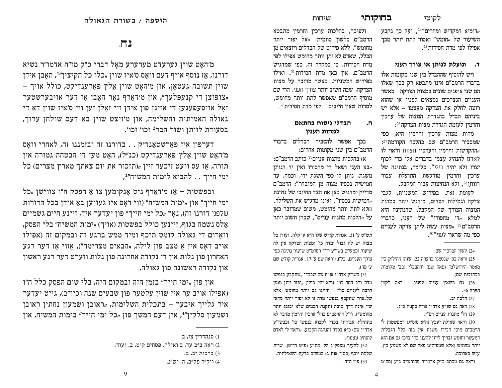## בחוקותי

*ויומיא דמקדיש ומחרים*"<sup>24</sup>, ועל כך נקבע, השיעור של <sub>"</sub>חומש" ואסור לתת יותר מכך אפילו לפי מדת חסידות 25.

## ד. תועלת לנותן או צורך העני

ויש להוסיף שההבדל בין שני מקומות אלו בדברי הרמב"ם אינו מתבטא רק בכך שאלו הם שני אופנים שונים במצות הצדקה – כאשר העניים הנצרכים נמצאים לפניו או שהוא רוצה לחלק את הצדקה מעצמו – אלא יש ביניהם הבדל בהגדרת המצוה של ערכין

וחרמין לעומת הגדרת מצות הצדקה26: מהות מצות ערכין וחרמין היא, כפי שמסביר הרמב"ם שם בהלכה הקודמת<sup>27</sup>: ההקדשות וחרמין והערכין מצוות וראוי לו לאדם להנהיג עצמו בדברים אלו כדי לכוף יצרו ולא יהיה כילי". כלומר, בנתינה של ערכין וחרמין מודגשת התועלת עבור הנותן 28, ולא הנחיצות עבור המקבל.

לעומת זאת, בפירוש המשניות, לגבי צדקה וגמילות חסדים, מודגש יותר במהות המצוה הצורך של המקבל, שהנתינה היא למלא <sub>יי</sub>די מחסורו" של העני, כדברי הרמב"ם 29 "מצות עשה ליתן צדקה לעניים כפי מה שראוי לעני״30.

### 24) לשון הברכ״י שם.

25) וראה בס' שנסמנו בהערה 22, שזהו החילוק בין מאמר הירושלמי (פאה שם) ודהבבלי (בב' מקומות בכתובות שם).

26) גם כשאין עניים לפניו – ראה לקמן הערה 36.

27) הלכה יב.

28) ראה גם שו"ע אדה"ז או"ח סקנ"ו ס"ג.

29) הל' מתנות עניים רפ״ז.

30) וראה שאילת יעבץ (ח"א סוס"ג) דמפשטות ל' הרמב"ם מובן דבידו משגת אין בזה כלל הגבלות דמעשר וחומש וצריך ליתן להעני כדי צרכו גם אם הוא יותר מחומש (אלא שמפיה״מ פאה שם לא משמע כן). ע״ש בארוכה.

וראה גם מכתב כ״ק אדמו״ר מהורש״ב נ״ע (סה״מ

ולפיכך, בהלכות ערכין וחרמין מתבטא הרמב"ם בלשון סתמית: "אל יפזר יותר מחומש", ללא פירוט של הבדלים ויוצאים מן הכלל, שאדם לא יתן יותר מחומש אפילו לפי מדת חסידות, כי במקרה זה, כפי שמדגיש הרמב"ם, אין כאן מדת חסידות<sup>31</sup>. ואילו בפירוש המשניות, כאשר מדובר על מצות הצדקה, שבה חשוב יותר צורך העני, הרי שם מוסיף הרמב"ם שאפשר לתת יותר מחומש, למרות שאין חייבים – לפי מדת חסידות23.

#### הבדלי ניסוח בהתאם ה. למהות הענין

בכך אפשר להסביר הבדלים בדברי הרמב"ם בין שני מקומות אחרים:

א) בהלכות מתנות עניים<sup>33</sup> כותב הרמב״ם: יבא העני ושאל די מחסורו ואין יד הנותן, משגת, נותן לו כפי השגת ידו, וכמה, עד חמישית נכסיו מצוה מן המובחר": הרמב"ם מדייק ומדגיש כאן את הצד החיובי של נתינת "חמישית נכסיו", ואינו מדגיש את השלילה, שלא לתת יותר מחומש, משום שמדובר כאן על "הלכות מתנות עניים", שבהן חשוב יותר

תש״ט ע׳ 21. אגרות קודש שלו ח״א ע׳ קלח. ועוד) כל מצוה יש לה גבול ומדה כו' ומצות הצדקה אין לה שיעור וכמש״כ בשו״ע יו״ד רסרמ״ט שיעור נתינה כפי  $\,$  צורך העניים, בל"ג ווראה שם ע' 17. אגרות ב ע׳ פה).

ישתקבע בנפשו בעפשו בעשו"ע בעפשו ביתקבע ביש מהון ממון (ולא יהי' כילי) "יפזר ויתן ממון הרבה לעניים כו'" – והיינו גם יותר מחומש (אלא של, אחר שתקבע בנפשו מדה זו לא יפזר יותר מדאי שזו אינה דרך טובה ותקנת חכמים שלא יבזבז יותר מחומש״). וי״ל דהרמב״ם בהל׳ ערכין וחרמין מדבר לא בתחילת עבודתו בכדי לקבוע בנפשו כו' (כבשו״ע אדה״ז שם) כ״א בסדר והנהגה הקבוע, "וראוי לו לאדם להנהיג עצמו".

32) להעיר מצפע"נ הל' מת"ע (פ"ט הי"ט). שו"ת שלמת יוסף (סט״ז אות ג) במש״כ בדעת השאילתות. 33) פ"ז ה"ה.

## $.773$

מ'האָט שוין גערעדט מערערע מאָל דברי כ״ק מו״ח אדמו״ר נשיא דורנו, אַז נוסף אויף דעם וואָס ס׳איז שוין "כלו כל הקיצין". האָבן אידן שוין תשובה געטאָן, און מ׳האָט שוין אַלץ פאַרענדיקט, כולל אויך – ער אויבערשטער (ענעפלען גער האָבן אַז דער אויבערשטער " זאָל אויפעפענען די אויגן פון אידן זיי זאָלן זען ווי ס׳איז שוין דאָ די גאולה האמיתית והשלימה, און מ׳זיצט שוין באַ דעם שולחן ערוך, בסעודת לויתן ושור הבר<sup>2</sup> וכו׳ וכו׳.

דערפון איז פאַרשטאַנדיק . . בדורנו זה ובזמננו זה, לאחרי וואַס מ׳האַט שוין אַלץ פּאַרענדיקט (כנ״ל), האַט מען די הבטחה גמורה אין לי (מצרים) מצרים) הוכער היין "תזכור את יום צאתך מארץ מצרים) כל ימי חייך . . להביא לימות המשיח״י,

ובפשטות – אַז מ׳דאַרף ניט אָנקומען צו אַ הפסק ח״ו צווישן "כל ימי חייך" און "ימות המשיח" (ווי דאָס איז געווען באַ אידן בכל הדורות שלפני דורנו זה), נאָר "כל ימי חייך" פון יעדער איד, זיינע חיים גשמיים אַלס נשמה בגוף, זיינען כולל בפשטות (אויך) "ימות המשיח" בלי הפסק, וואַרום די גאולה קומט תיכף ומיד ממש ברגע זה ובמקום זה (אפילו אויב דאָס איז אַ מצב פון לילה, "הבאים מצרימה"), אַזוי אַז דער רגע האחרון פון גלות און די נקודה אחרונה פון גלות ווערט דער רגע ראשון און נקודה ראשונה פון גאולה,

און פון "ימי חייך" בזמן הזה ובמקום הזה, בלי שום הפסק כלל ח"ו (אפילו אויב ער איז שוין עלטער פון שבעים שנה וכיו"ב), גייט יעדער איד גלייך איבער – בתכלית השלימות, "ראובן ושמעון נחתין ראובן ושמעון סלקין"4, אין דעם המשך פון "כל ימי חייך" בימות המשיח, און

<sup>1)</sup> סנהדרין צז, ב.

<sup>2)</sup> ראה ב״ב עד, ב ואילך. פסחים קיט, ב. ועוד.

<sup>3)</sup> ברכות יב, ב.

<sup>4)</sup> ויק״ר פּל״ב, ה. וש״נ.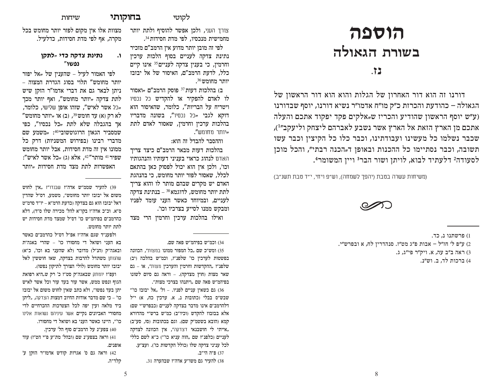# **תוספה** בשורת הגאולה

## **bz/**

דורנו זה הוא דור האחרון של הגלות והוא הוא דור הראשון של הגאולה – כהודעת והכרזת כ״ק מו״ח אדמו״ר נשיא דורנו, יוסף שבדורנו (ע״ש יוסף הראשון שהודיע והכריז ש<sub>״</sub>אלקים פקד יפקוד אתכם והעלה  $t^{(1\prime\prime}$ אתכם מן הארץ הזאת אל הארץ אשר נשבע לאברהם ליצחק וליעקב $t^{(1\prime\prime)}$ שכבר נשלמו כל מעשינו ועבודתינו, וכבר כלו כל הקיצין וכבר עשו תשובה, וכבר נסתיימו כל ההכנות ובאופן ד"הכנה רבתי", והכל מוכן לסעודה<sup>2</sup> דלעתיד לבוא, לויתן ושור הבר<sup>3</sup> ויין המשומר<del>!</del>.

(משיחות עשרה בטבת (יהפך לשמחה), וש״פ ויחי, י״ד טבת תשנ״ב)



1) פרשתנו נ, כד. 2) ע״פ ל׳ חז״ל – אבות פ״ג מט״ז. סנהדרין לח, א ובפרש״י. ה ב"ב עה, א, ויק"ר פי"ג, ג, (3) 4) ברכות לד, ב. וש״נ.

לקוטי **<b>בחוקותי** 

 $v$ יחות

מצוות אלו אין מקום לפזר יותר מחומש בכל מקרה, אף לפי מדת חסידות, כדלעיל.

## **LFN GZFY ]SL]S H RZ]O "נפשו**

לפי האמור לעיל – שהענין של <sub>"</sub>אל יפזר יותר מחומש״ תלוי בסוג הגדרת המצוה – ניתן לבאר גם את דברי אדמו"ר הזקן שיש לתת צדקה <sub>"</sub>יותר מחומש", ואף יותר מכך "כל אשר לאיש", שזהו אופן שלישי, כלומר,  $''$ לא רק (א) עד חומש $^{39}$ י, (ב) או  $\star$ יותר מחומש אך בהגבלה שלא לתת <sub>"</sub>כל נכסיו", כפי שמסביר הגאון הרוגוטשובי<sup>40</sup>: <sub>"</sub>משמע שם מדברי רבינו (בפירוש המשניות) דרק כל ממונו אין זה מדת חסידות, אבל יותר מחומש שפיר <sup>41</sup> מותר"<sup>42</sup>, אלא (ג) <sub>"</sub>כל אשר לאיש": האפשרות לתת מצד מדת <mark>חסידות ‰יותר</mark>

19) להעיר שממ"ש אדה"ז שבנדו"ז "אין לחוש משום אל יבזבז יותר מחומש", משמע, דס"ל שהדין האל יבזבז הוא גם בצדקה וכדעת הרמ״א – יו״ד סרמ״ט ס״א. וכ״כ אדה״ז בקו״א להל׳ מכירה שלו ס״ד), דלא כהרמב״ם בפיהמ״ש כו׳ דס״ל שמצד מדת חסידות יש לתת יותר מחומש.

ולפענ״ד שגם אדה״ז אפ״ל דס״ל כהרמב״ם כאשר בא העני ושואל די מחסורו כו' – שהרי באגה״ת ובאגה״ק (הנ״ל) מדובר (לא שהעני בא וכו׳, כ״א) טהנותן משתדל להרבות בצדקה, שאז חוששין לאל יבזבז יותר מחומש (לולי הצורך לתיקון נפשו).

ועפ״ו יומתק שבאגה״ק סט״ו כ׳ רק ש"היא רפואת הגוף ונפש ממש, אשר עור בעד עור וכל אשר לאיש יתן בעד נפשו", ולא כתב שאין לחוש משום אל יבזבז כו' – כי שם מדבר אודות החיוב דמצות הצדקה, "ליתן ביד מלאה ועין יפה לכל הצטרכות ההכרחיים לדי מחסורי האביונים נקיים אשר עיניהם נשואות אלינו כו׳״, היינו כאשר העני בא ושואל די מחסורו.

40) צפע״נ על הרמב״ם סוף הל׳ ערכין.

41) וראה בצפע״נ שם (ובהל׳ מת״ע פ״י הט״ז) עוד אופנים.

42) וראה גם ס׳ אגרות קודש אדמו״ר הזקן ע׳ סלד־ה. צורך העני, ולכן אפשר להוסיף ולתת יותר מחמישית מנכסיו, לפי מדת חסידות<sup>34</sup>.

לפי זה מובן יותר מדוע אין הרמב״ם מזכיר נתינת צדקה לעניים בסוף הלכות ערכיו <sup>1</sup> וחרמין, כי בענין צדקה לעניים<sup>35</sup> אינו קיים כלל. לדעת הרמב"ם. האיסור של אל יבזבז  $\cdot$ יותר מחומש 36

> ב) בהלכות דעות<sup>37</sup> פוסק הרמב"ם <sub>"</sub>ואסור לו לאדם להפקיר או להקדיש כל נכסיו ויטריח על הבריות", כלומר, שהאיסור הוא דוקא לגבי <sub>"</sub>כל נכסיו", בשונה מדבריו בהלכות ערכיז וחרמיז, שאסור לאדם לתת  $\rlap{.}$ יותר מחומש $\rlap{.}$

וההסבר להבדל זה הוא:

בהלכות דעות מבאר הרמב"ם כיצד צריך האדם לנהוג כראוי בעניני דעותיו והנהגותיו וכו׳, ולכן אין הוא יכול לפסוק כאן בהתאם לכלל. שאסור לפזר יותר מחומש, כי בהנהגת האדם יש מקרים שבהם מותר לו והוא צריך  $\zeta$ לתת יותר מחומש, לדוגמא בנתינת ל לעניים, ובמיוחד כאשר העני עומד לפניו ומבקש ממנו לסייע בצרכיו וכו׳.

ואילו בהלכות ערכין וחרמין הרי מצד

וכמ"ש בפיהמ"ש פאה שם.

ומש"כ שם "כל המפור ממו<mark>נו</mark> במצות", הכוונה (35 בפשטות לערכין כו׳ שלפנ״ז, וכמ״ש בהלכה (יב) שלפנ"ז "ההקדשות וחרמין והערכין מצות", או שאר מצות (חוץ מצדקה). - וראה גם סיום לשונו בפיהמ"ש פאה שם "ויתנהו בצרכי מצות".<br>.

"גם כשאין עניים לפניו. – ול' "אל יבזבז כו $(36$ שבש"ס בבלי (כתובות נ, א. ערכין כח, א) י"ל דלהרמב"ם אינו מדבר בצדקה לעניים (כבפרש"י שם) אלא בבזבוז להקדש (וכיו"ב) כמ"ש ברש"י מהדורא קמא (הובא בשטמ"ק שם). וגם בכתובות (סז, סע"ב) אייתי לי חושבנאי דצדקה", אין הכוונה לצדקה, $\mu$ לעניים (כלפנ"ז שם "הוה עניא כו'") כ"א לשם כללי לכל עניני צדקה שלו (כולל הקדשות כו'). ועצ״ע.

37) פ"ה הי"ב.

G31 להעיר גם משו״ע אדה״ז שבהערה 31.